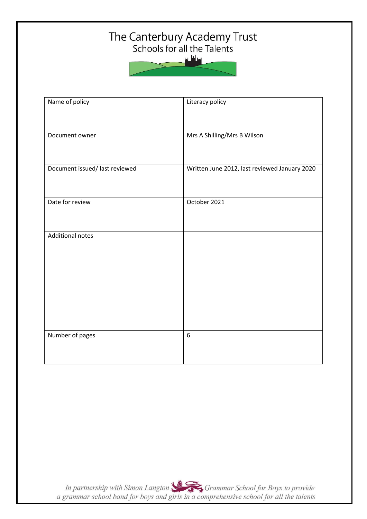# The Canterbury Academy Trust<br>Schools for all the Talents



| Name of policy                 | Literacy policy                               |
|--------------------------------|-----------------------------------------------|
| Document owner                 | Mrs A Shilling/Mrs B Wilson                   |
| Document issued/ last reviewed | Written June 2012, last reviewed January 2020 |
|                                |                                               |
| Date for review                | October 2021                                  |
| <b>Additional notes</b>        |                                               |
|                                |                                               |
|                                |                                               |
|                                |                                               |
| Number of pages                | 6                                             |
|                                |                                               |

In partnership with Simon Langton Sexting Grammar School for Boys to provide<br>a grammar school band for boys and girls in a comprehensive school for all the talents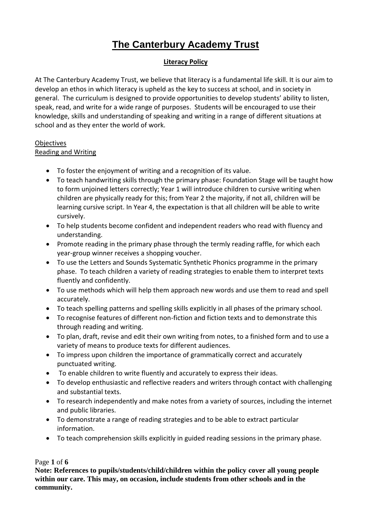# **The Canterbury Academy Trust**

# **Literacy Policy**

At The Canterbury Academy Trust, we believe that literacy is a fundamental life skill. It is our aim to develop an ethos in which literacy is upheld as the key to success at school, and in society in general. The curriculum is designed to provide opportunities to develop students' ability to listen, speak, read, and write for a wide range of purposes. Students will be encouraged to use their knowledge, skills and understanding of speaking and writing in a range of different situations at school and as they enter the world of work.

#### Objectives

#### Reading and Writing

- To foster the enjoyment of writing and a recognition of its value.
- To teach handwriting skills through the primary phase: Foundation Stage will be taught how to form unjoined letters correctly; Year 1 will introduce children to cursive writing when children are physically ready for this; from Year 2 the majority, if not all, children will be learning cursive script. In Year 4, the expectation is that all children will be able to write cursively.
- To help students become confident and independent readers who read with fluency and understanding.
- Promote reading in the primary phase through the termly reading raffle, for which each year-group winner receives a shopping voucher.
- To use the Letters and Sounds Systematic Synthetic Phonics programme in the primary phase. To teach children a variety of reading strategies to enable them to interpret texts fluently and confidently.
- To use methods which will help them approach new words and use them to read and spell accurately.
- To teach spelling patterns and spelling skills explicitly in all phases of the primary school.
- To recognise features of different non-fiction and fiction texts and to demonstrate this through reading and writing.
- To plan, draft, revise and edit their own writing from notes, to a finished form and to use a variety of means to produce texts for different audiences.
- To impress upon children the importance of grammatically correct and accurately punctuated writing.
- To enable children to write fluently and accurately to express their ideas.
- To develop enthusiastic and reflective readers and writers through contact with challenging and substantial texts.
- To research independently and make notes from a variety of sources, including the internet and public libraries.
- To demonstrate a range of reading strategies and to be able to extract particular information.
- To teach comprehension skills explicitly in guided reading sessions in the primary phase.

#### Page **1** of **6**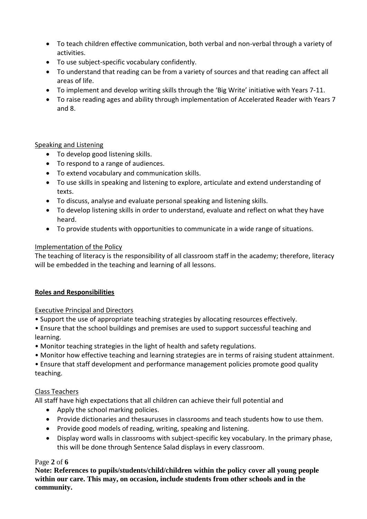- To teach children effective communication, both verbal and non-verbal through a variety of activities.
- To use subject-specific vocabulary confidently.
- To understand that reading can be from a variety of sources and that reading can affect all areas of life.
- To implement and develop writing skills through the 'Big Write' initiative with Years 7-11.
- To raise reading ages and ability through implementation of Accelerated Reader with Years 7 and 8.

# Speaking and Listening

- To develop good listening skills.
- To respond to a range of audiences.
- To extend vocabulary and communication skills.
- To use skills in speaking and listening to explore, articulate and extend understanding of texts.
- To discuss, analyse and evaluate personal speaking and listening skills.
- To develop listening skills in order to understand, evaluate and reflect on what they have heard.
- To provide students with opportunities to communicate in a wide range of situations.

# Implementation of the Policy

The teaching of literacy is the responsibility of all classroom staff in the academy; therefore, literacy will be embedded in the teaching and learning of all lessons.

#### **Roles and Responsibilities**

# Executive Principal and Directors

- Support the use of appropriate teaching strategies by allocating resources effectively.
- Ensure that the school buildings and premises are used to support successful teaching and learning.
- Monitor teaching strategies in the light of health and safety regulations.
- Monitor how effective teaching and learning strategies are in terms of raising student attainment.

• Ensure that staff development and performance management policies promote good quality teaching.

#### Class Teachers

All staff have high expectations that all children can achieve their full potential and

- Apply the school marking policies.
- Provide dictionaries and thesauruses in classrooms and teach students how to use them.
- Provide good models of reading, writing, speaking and listening.
- Display word walls in classrooms with subject-specific key vocabulary. In the primary phase, this will be done through Sentence Salad displays in every classroom.

#### Page **2** of **6**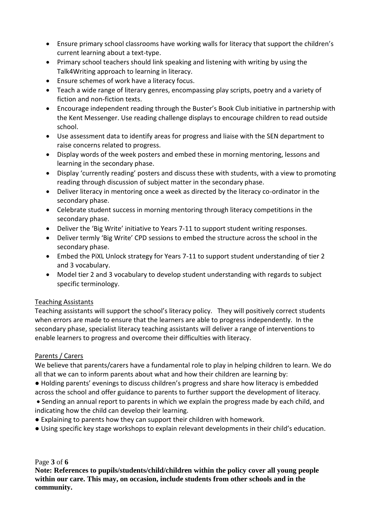- Ensure primary school classrooms have working walls for literacy that support the children's current learning about a text-type.
- Primary school teachers should link speaking and listening with writing by using the Talk4Writing approach to learning in literacy.
- Ensure schemes of work have a literacy focus.
- Teach a wide range of literary genres, encompassing play scripts, poetry and a variety of fiction and non-fiction texts.
- Encourage independent reading through the Buster's Book Club initiative in partnership with the Kent Messenger. Use reading challenge displays to encourage children to read outside school.
- Use assessment data to identify areas for progress and liaise with the SEN department to raise concerns related to progress.
- Display words of the week posters and embed these in morning mentoring, lessons and learning in the secondary phase.
- Display 'currently reading' posters and discuss these with students, with a view to promoting reading through discussion of subject matter in the secondary phase.
- Deliver literacy in mentoring once a week as directed by the literacy co-ordinator in the secondary phase.
- Celebrate student success in morning mentoring through literacy competitions in the secondary phase.
- Deliver the 'Big Write' initiative to Years 7-11 to support student writing responses.
- Deliver termly 'Big Write' CPD sessions to embed the structure across the school in the secondary phase.
- Embed the PiXL Unlock strategy for Years 7-11 to support student understanding of tier 2 and 3 vocabulary.
- Model tier 2 and 3 vocabulary to develop student understanding with regards to subject specific terminology.

# Teaching Assistants

Teaching assistants will support the school's literacy policy. They will positively correct students when errors are made to ensure that the learners are able to progress independently. In the secondary phase, specialist literacy teaching assistants will deliver a range of interventions to enable learners to progress and overcome their difficulties with literacy.

# Parents / Carers

We believe that parents/carers have a fundamental role to play in helping children to learn. We do all that we can to inform parents about what and how their children are learning by:

- Holding parents' evenings to discuss children's progress and share how literacy is embedded across the school and offer guidance to parents to further support the development of literacy.
- Sending an annual report to parents in which we explain the progress made by each child, and indicating how the child can develop their learning.
- Explaining to parents how they can support their children with homework.
- Using specific key stage workshops to explain relevant developments in their child's education.

Page **3** of **6**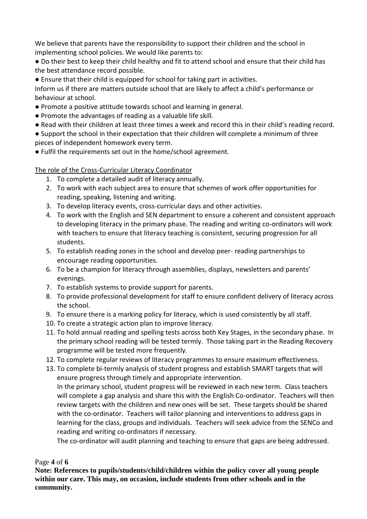We believe that parents have the responsibility to support their children and the school in implementing school policies. We would like parents to:

● Do their best to keep their child healthy and fit to attend school and ensure that their child has the best attendance record possible.

● Ensure that their child is equipped for school for taking part in activities.

Inform us if there are matters outside school that are likely to affect a child's performance or behaviour at school.

- Promote a positive attitude towards school and learning in general.
- Promote the advantages of reading as a valuable life skill.
- Read with their children at least three times a week and record this in their child's reading record.
- Support the school in their expectation that their children will complete a minimum of three pieces of independent homework every term.
- Fulfil the requirements set out in the home/school agreement.

The role of the Cross-Curricular Literacy Coordinator

- 1. To complete a detailed audit of literacy annually.
- 2. To work with each subject area to ensure that schemes of work offer opportunities for reading, speaking, listening and writing.
- 3. To develop literacy events, cross-curricular days and other activities.
- 4. To work with the English and SEN department to ensure a coherent and consistent approach to developing literacy in the primary phase. The reading and writing co-ordinators will work with teachers to ensure that literacy teaching is consistent, securing progression for all students.
- 5. To establish reading zones in the school and develop peer- reading partnerships to encourage reading opportunities.
- 6. To be a champion for literacy through assemblies, displays, newsletters and parents' evenings.
- 7. To establish systems to provide support for parents.
- 8. To provide professional development for staff to ensure confident delivery of literacy across the school.
- 9. To ensure there is a marking policy for literacy, which is used consistently by all staff.
- 10. To create a strategic action plan to improve literacy.
- 11. To hold annual reading and spelling tests across both Key Stages, in the secondary phase. In the primary school reading will be tested termly. Those taking part in the Reading Recovery programme will be tested more frequently.
- 12. To complete regular reviews of literacy programmes to ensure maximum effectiveness.
- 13. To complete bi-termly analysis of student progress and establish SMART targets that will ensure progress through timely and appropriate intervention. In the primary school, student progress will be reviewed in each new term. Class teachers will complete a gap analysis and share this with the English Co-ordinator. Teachers will then review targets with the children and new ones will be set. These targets should be shared with the co-ordinator. Teachers will tailor planning and interventions to address gaps in learning for the class, groups and individuals. Teachers will seek advice from the SENCo and reading and writing co-ordinators if necessary.

The co-ordinator will audit planning and teaching to ensure that gaps are being addressed.

#### Page **4** of **6**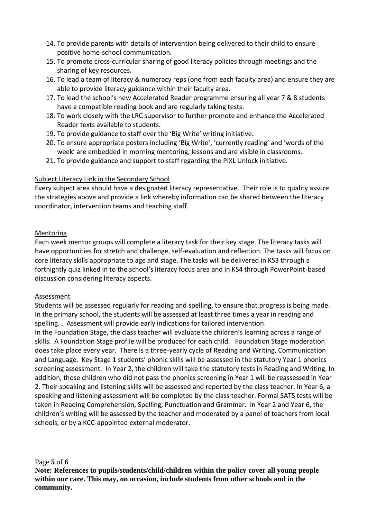- 14. To provide parents with details of intervention being delivered to their child to ensure positive home-school communication.
- 15. To promote cross-curricular sharing of good literacy policies through meetings and the sharing of key resources.
- 16. To lead a team of literacy & numeracy reps (one from each faculty area) and ensure they are able to provide literacy guidance within their faculty area.
- 17. To lead the school's new Accelerated Reader programme ensuring all year 7 & 8 students have a compatible reading book and are regularly taking tests.
- 18. To work closely with the LRC supervisor to further promote and enhance the Accelerated Reader texts available to students.
- 19. To provide guidance to staff over the 'Big Write' writing initiative.
- 20. To ensure appropriate posters including 'Big Write', 'currently reading' and 'words of the week' are embedded in morning mentoring, lessons and are visible in classrooms.
- 21. To provide guidance and support to staff regarding the PiXL Unlock initiative.

#### Subject Literacy Link in the Secondary School

Every subject area should have a designated literacy representative. Their role is to quality assure the strategies above and provide a link whereby information can be shared between the literacy coordinator, intervention teams and teaching staff.

#### Mentoring

Each week mentor groups will complete a literacy task for their key stage. The literacy tasks will have opportunities for stretch and challenge, self-evaluation and reflection. The tasks will focus on core literacy skills appropriate to age and stage. The tasks will be delivered in KS3 through a fortnightly quiz linked in to the school's literacy focus area and in KS4 through PowerPoint-based discussion considering literacy aspects.

#### Assessment

Students will be assessed regularly for reading and spelling, to ensure that progress is being made. In the primary school, the students will be assessed at least three times a year in reading and spelling. . Assessment will provide early indications for tailored intervention.

In the Foundation Stage, the class teacher will evaluate the children's learning across a range of skills. A Foundation Stage profile will be produced for each child. Foundation Stage moderation does take place every year. There is a three-yearly cycle of Reading and Writing, Communication and Language. Key Stage 1 students' phonic skills will be assessed in the statutory Year 1 phonics screening assessment. In Year 2, the children will take the statutory tests in Reading and Writing. In addition, those children who did not pass the phonics screening in Year 1 will be reassessed in Year 2. Their speaking and listening skills will be assessed and reported by the class teacher. In Year 6, a speaking and listening assessment will be completed by the class teacher. Formal SATS tests will be taken in Reading Comprehension, Spelling, Punctuation and Grammar. In Year 2 and Year 6, the children's writing will be assessed by the teacher and moderated by a panel of teachers from local schools, or by a KCC-appointed external moderator.

#### Page **5** of **6**

**Note: References to pupils/students/child/children within the policy cover all young people within our care. This may, on occasion, include students from other schools and in the community.**